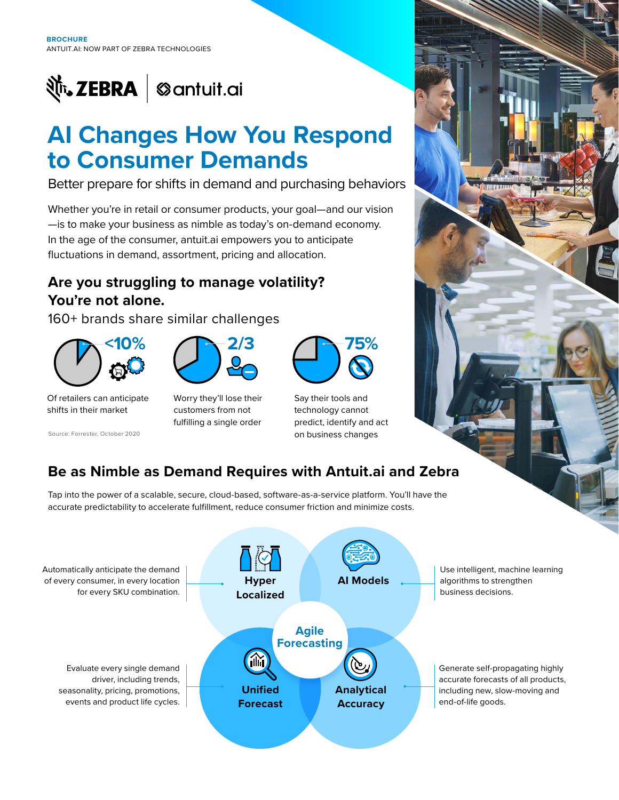

# **AI Changes How You Respond to Consumer Demands**

Better prepare for shifts in demand and purchasing behaviors

Whether you're in retail or consumer products, your goal—and our vision —is to make your business as nimble as today's on-demand economy. In the age of the consumer, antuit.ai empowers you to anticipate fluctuations in demand, assortment, pricing and allocation.

### **Are you struggling to manage volatility? You're not alone.**

160+ brands share similar challenges





Of retailers can anticipate shifts in their market

Source: Forrester, October 2020

Worry they'll lose their customers from not fulfilling a single order



Say their tools and technology cannot predict, identify and act on business changes

## **Be as Nimble as Demand Requires with Antuit.ai and Zebra**

Tap into the power of a scalable, secure, cloud-based, software-as-a-service platform. You'll have the accurate predictability to accelerate fulfillment, reduce consumer friction and minimize costs.